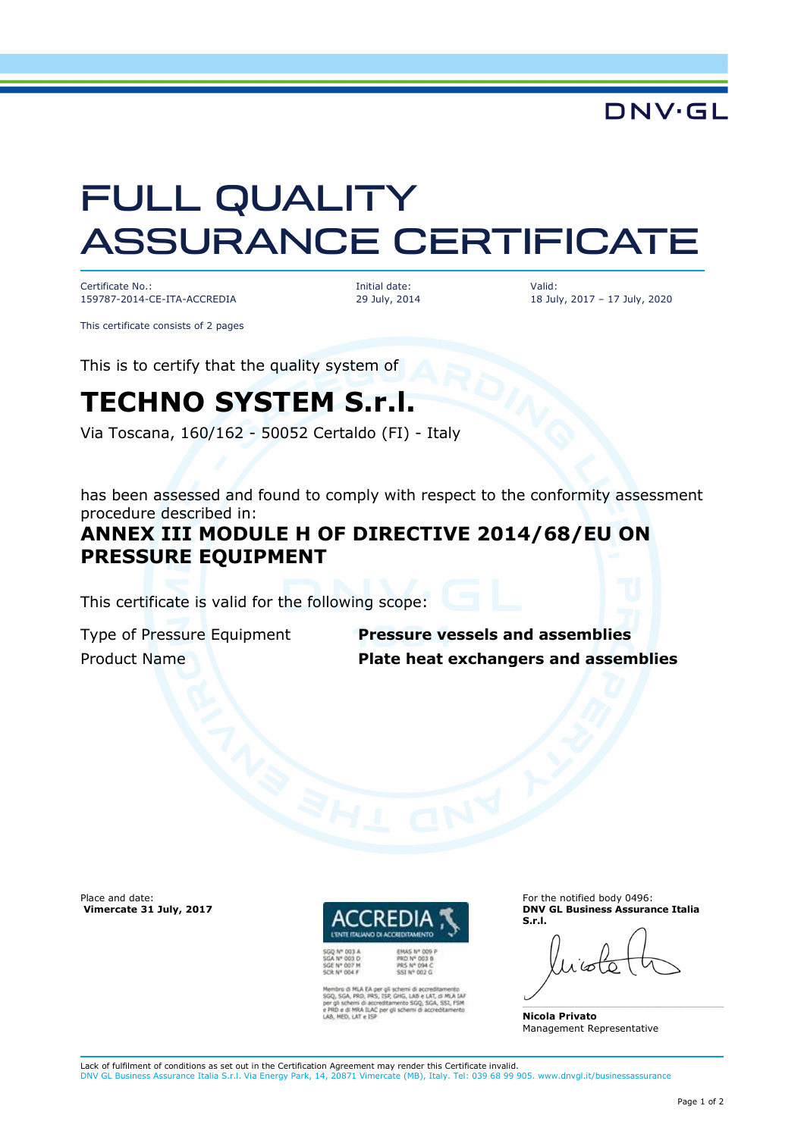**DNV·GL** 

# FULL QUALITY ASSURANCE CERTIFICATE

Certificate No.: 159787-2014-CE-ITA-ACCREDIA Initial date: 29 July, 2014 Valid: 18 July, 2017 – 17 July, 2020

This certificate consists of 2 pages

This is to certify that the quality system of

## **TECHNO SYSTEM S.r.l.**

Via Toscana, 160/162 - 50052 Certaldo (FI) - Italy

has been assessed and found to comply with respect to the conformity assessment procedure described in:

### **ANNEX III MODULE H OF DIRECTIVE 2014/68/EU ON PRESSURE EQUIPMENT**

This certificate is valid for the following scope:

Type of Pressure Equipment **Pressure vessels and assemblies** Product Name **Plate heat exchangers and assemblies**

Place and date:  **Vimercate 31 July, 2017**



per gli schemi di acoreditamento<br>S, ISP, GHG, LAB e LAT, di MLA Di<br>creditamento SGQ, SGA, SSI, FSM<br>C per gli schemi di accreditamenti **BAC** per oli sche

**PRS Nº 094 C** 

For the notified body 0496: **DNV GL Business Assurance Italia S.r.l.** 

**Nicola Privato**  Management Representative

Lack of fulfilment of conditions as set out in the Certification Agreement may render this Certificate invalid. DNV GL Business Assurance Italia S.r.l. Via Energy Park, 14, 20871 Vimercate (MB), Italy. Tel: 039 68 99 905. www.dnvgl.it/businessassurance